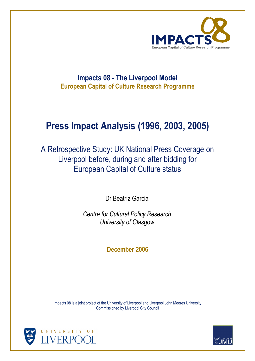

## **Impacts 08 - The Liverpool Model European Capital of Culture Research Programme**

# **Press Impact Analysis (1996, 2003, 2005)**

A Retrospective Study: UK National Press Coverage on Liverpool before, during and after bidding for European Capital of Culture status

Dr Beatriz Garcia

*Centre for Cultural Policy Research University of Glasgow* 

**December 2006** 

Impacts 08 is a joint project of the University of Liverpool and Liverpool John Moores University Commissioned by Liverpool City Council



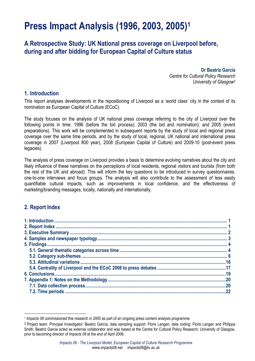# **Press Impact Analysis (1996, 2003, 2005)1**

## **A Retrospective Study: UK National press coverage on Liverpool before, during and after bidding for European Capital of Culture status**

**Dr Beatriz Garcia**  *Centre for Cultural Policy Research University of Glasgow2*

### **1. Introduction**

This report analyses developments in the repositioning of Liverpool as a 'world class' city in the context of its nomination as European Capital of Culture (ECoC).

The study focuses on the analysis of UK national press coverage referring to the city of Liverpool over the following points in time: 1996 (before the bid process); 2003 (the bid and nomination); and 2005 (event preparations). This work will be complemented in subsequent reports by the study of local and regional press coverage over the same time periods, and by the study of local, regional, UK national and international press coverage in 2007 (Liverpool 800 year), 2008 (European Capital of Culture) and 2009-10 (post-event press legacies).

The analysis of press coverage on Liverpool provides a basis to determine evolving narratives about the city and likely influence of these narratives on the perceptions of local residents, regional visitors and tourists (from both the rest of the UK and abroad). This will inform the key questions to be introduced in survey questionnaires, one-to-one interviews and focus groups. The analysis will also contribute to the assessment of less easily quantifiable cultural impacts, such as improvements in local confidence, and the effectiveness of marketing/branding messages, locally, nationally and internationally.

## **2. Report Index**

 $\overline{\phantom{a}}$ <sup>1</sup> *Impacts 08* commissioned this research in 2005 as part of an ongoing press content analysis programme.

<sup>&</sup>lt;sup>2</sup> Project team: Principal Investigator: Beatriz García; data sampling support: Floris Langen; data coding: Floris Langen and Philippa Smith. Beatriz Garcia acted as external collaborator and was based at the Centre for Cultural Policy Research, University of Glasgow, prior to becoming director of *Impacts 08* at the end of April 2006.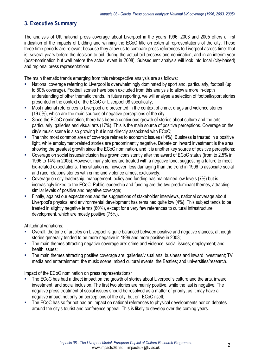## **3. Executive Summary**

The analysis of UK national press coverage about Liverpool in the years 1996, 2003 and 2005 offers a first indication of the impacts of bidding and winning the ECoC title on external representations of the city. These three time periods are relevant because they allow us to compare press references to Liverpool across time: that is, several years before the decision to bid, during the actual bid process and nomination, and in an interim year (post-nomination but well before the actual event in 2008). Subsequent analysis will look into local (city-based) and regional press representations.

The main thematic trends emerging from this retrospective analysis are as follows:

- National coverage referring to Liverpool is overwhelmingly dominated by sport and, particularly, football (up to 80% coverage). Football stories have been excluded from this analysis to allow a more in-depth understanding of other thematic trends. In future reporting, we will analyse a selection of football/sport stories presented in the context of the ECoC or Liverpool 08 specifically;
- Most national references to Liverpool are presented in the context of crime, drugs and violence stories (19.5%), which are the main sources of negative perceptions of the city;
- Since the ECoC nomination, there has been a continuous growth of stories about culture and the arts, particularly, galleries and visual arts (17%). This is the main source of positive perceptions. Coverage on the city's music scene is also growing but is not directly associated with ECoC;
- The third most common area of coverage relates to economic issues (14%). Business is treated in a positive light, while employment-related stories are predominantly negative. Debate on inward investment is the area showing the greatest growth since the ECoC nomination, and it is another key source of positive perceptions;
- Coverage on social issues/inclusion has grown consistently after the award of ECoC status (from to 2.5% in 1996 to 14% in 2005). However, many stories are treated with a negative tone, suggesting a failure to meet bid-related expectations. This situation is, however, less damaging than the trend in 1996 to associate social and race relations stories with crime and violence almost exclusively;
- Coverage on city leadership, management, policy and funding has maintained low levels (7%) but is increasingly linked to the ECoC. Public leadership and funding are the two predominant themes, attracting similar levels of positive and negative coverage;
- Finally, against our expectations and the suggestions of stakeholder interviews, national coverage about Liverpool's physical and environmental development has remained quite low (4%). This subject tends to be treated in slightly negative terms (60%), except for a very few references to cultural infrastructure development, which are mostly positive (75%).

Attitudinal variations:

- Overall, the tone of articles on Liverpool is quite balanced between positive and negative stances, although stories generally tended to be more negative in 1996 and more positive in 2003;
- The main themes attracting negative coverage are: crime and violence; social issues; employment; and health issues;
- The main themes attracting positive coverage are: galleries/visual arts; business and inward investment; TV media and entertainment; the music scene; mixed cultural events; the Beatles; and universities/research.

Impact of the ECoC nomination on press representations*:* 

- The ECoC has had a direct impact on the growth of stories about Liverpool's culture and the arts, inward investment, and social inclusion. The first two stories are mainly positive, while the last is negative. The negative press treatment of social issues should be resolved as a matter of priority, as it may have a negative impact not only on perceptions of the city, but on ECoC itself;
- The ECoC has so far not had an impact on national references to physical developments nor on debates around the city's tourist and conference appeal. This is likely to develop over the coming years.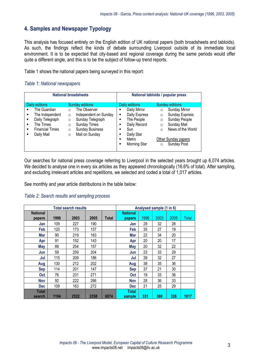## **4. Samples and Newspaper Typology**

This analysis has focused entirely on the English edition of UK national papers (both broadsheets and tabloids). As such, the findings reflect the kinds of debate surrounding Liverpool *outside* of its immediate local environment. It is to be expected that city-based and regional coverage during the same periods would offer quite a different angle, and this is to be the subject of follow-up trend reports.

Table 1 shows the national papers being surveyed in this report:

#### *Table 1: National newspapers*

|                                                                                                                                                    | <b>National broadsheets</b>                                                                                                                                                                                               | National tabloids / popular press                                                                                                          |                                                                                                                                                                                                                                      |  |  |
|----------------------------------------------------------------------------------------------------------------------------------------------------|---------------------------------------------------------------------------------------------------------------------------------------------------------------------------------------------------------------------------|--------------------------------------------------------------------------------------------------------------------------------------------|--------------------------------------------------------------------------------------------------------------------------------------------------------------------------------------------------------------------------------------|--|--|
| Daily editions<br>The Guardian<br>The Independent<br>٠<br>Daily Telegraph<br>п<br>The Times<br>п<br><b>Financial Times</b><br>п<br>Daily Mail<br>п | <b>Sunday editions</b><br>The Observer<br>$\circ$<br>Independent on Sunday<br>$\Omega$<br>Sunday Telegraph<br>$\circ$<br><b>Sunday Times</b><br>$\circ$<br><b>Sunday Business</b><br>$\circ$<br>Mail on Sunday<br>$\circ$ | Daily editions<br>Daily Mirror<br>٠<br>Daily Express<br>The People<br>п<br>Daily Record<br>п<br>Sun<br>Daily Star<br>Metro<br>Morning Star | <b>Sunday editions</b><br><b>Sunday Mirror</b><br>$\circ$<br><b>Sunday Express</b><br>$\circ$<br>Sunday People<br>$\circ$<br>Sunday Mail<br>$\circ$<br>News of the World<br>$\circ$<br>Other Sunday papers<br>Sunday Post<br>$\circ$ |  |  |

Our searches for national press coverage referring to Liverpool in the selected years brought up 6,074 articles. We decided to analyse one in every six articles as they appeared chronologically (16.6% of total). After sampling, and excluding irrelevant articles and repetitions, we selected and coded a total of 1,017 articles.

See monthly and year article distributions in the table below:

#### *Table 2: Search results and sampling process*

| <b>Total search results</b> |      |      |      |       | Analysed sample (1 in 6)  |      |      |      |       |
|-----------------------------|------|------|------|-------|---------------------------|------|------|------|-------|
| <b>National</b><br>papers   | 1996 | 2003 | 2005 | Total | <b>National</b><br>papers | 1996 | 2003 | 2005 | Total |
| Jan                         | 109  | 227  | 190  |       | Jan                       | 29   | 32   | 28   |       |
| Feb                         | 120  | 173  | 157  |       | Feb                       | 35   | 27   | 19   |       |
| Mar                         | 90   | 219  | 163  |       | Mar                       | 22   | 34   | 20   |       |
| Apr                         | 91   | 152  | 143  |       | Apr                       | 20   | 20   | 17   |       |
| May                         | 89   | 254  | 157  |       | <b>May</b>                | 20   | 32   | 22   |       |
| Jun                         | 59   | 259  | 204  |       | Jun                       | 23   | 33   | 29   |       |
| Jul                         | 115  | 209  | 186  |       | Jul                       | 39   | 32   | 27   |       |
| Aug                         | 130  | 212  | 202  |       | Aug                       | 38   | 35   | 36   |       |
| <b>Sep</b>                  | 114  | 201  | 147  |       | <b>Sep</b>                | 37   | 21   | 30   |       |
| <b>Oct</b>                  | 76   | 231  | 271  |       | <b>Oct</b>                | 19   | 33   | 36   |       |
| <b>Nov</b>                  | 92   | 222  | 266  |       | <b>Nov</b>                | 28   | 36   | 33   |       |
| <b>Dec</b>                  | 109  | 163  | 272  |       | <b>Dec</b>                | 21   | 25   | 29   |       |
| Total<br>search             | 1194 | 2522 | 2358 | 6074  | <b>Total</b><br>sample    | 331  | 360  | 326  | 1017  |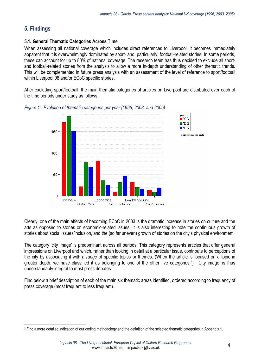## **5. Findings**

### **5.1. General Thematic Categories Across Time**

When assessing all national coverage which includes direct references to Liverpool, it becomes immediately apparent that it is overwhelmingly dominated by sport- and, particularly, football-related stories. In some periods, these can account for up to 80% of national coverage. The research team has thus decided to exclude all sportand football-related stories from the analysis to allow a more in-depth understanding of other thematic trends. This will be complemented in future press analysis with an assessment of the level of reference to sport/football within Liverpool 08 and/or ECoC specific stories.

After excluding sport/football, the main thematic categories of articles on Liverpool are distributed over each of the time periods under study as follows:



*Figure 1-: Evolution of thematic categories per year (1996, 2003, and 2005)* 

Clearly, one of the main effects of becoming ECoC in 2003 is the dramatic increase in stories on culture and the arts as opposed to stories on economic-related issues. It is also interesting to note the continuous growth of stories about social issues/inclusion, and the (so far uneven) growth of stories on the city's physical environment.

The category 'city image' is predominant across all periods. This category represents articles that offer general impressions on Liverpool and which, rather than looking in detail at a particular issue, contribute to perceptions of the city by associating it with a *range* of specific topics or themes. (When the article is focused on a topic in greater depth, we have classified it as belonging to one of the other five categories.3) 'City image' is thus understandably integral to most press debates.

Find below a brief description of each of the main six thematic areas identified, ordered according to frequency of press coverage (most frequent to less frequent).

l 3 Find a more detailed indication of our coding methodology and the definition of the selected thematic categories in Appendix 1.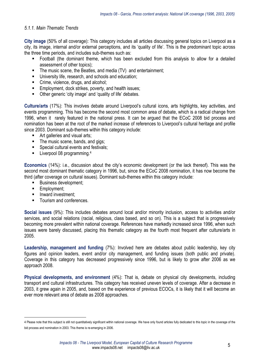#### *5.1.1. Main Thematic Trends*

**City image** (50% of all coverage): This category includes all articles discussing general topics on Liverpool as a city, its image, internal and/or external perceptions, and its 'quality of life'. This is the predominant topic across the three time periods, and includes sub-themes such as:

- Football (the dominant theme, which has been excluded from this analysis to allow for a detailed assessment of other topics);
- The music scene, the Beatles, and media (TV) and entertainment;
- **University life, research, and schools and education;**
- **Crime, violence, drugs, and alcohol;**
- **Employment, dock strikes, poverty, and health issues:**
- **Divide** Other generic 'city image' and 'quality of life' debates.

**Culture/arts** (17%): This involves debate around Liverpool's cultural icons, arts highlights, key activities, and events programming. This has become the second most common area of debate, which is a radical change from 1996, when it rarely featured in the national press. It can be argued that the ECoC 2008 bid process and nomination has been at the root of the marked increase of references to Liverpool's cultural heritage and profile since 2003. Dominant sub-themes within this category include:

- Art galleries and visual arts;
- The music scene, bands, and gigs;
- **Special cultural events and festivals;**
- $\blacksquare$  Liverpool 08 programming.<sup>4</sup>

**Economics** (14%): i.e., discussion about the city's economic development (or the lack thereof). This was the second most dominant thematic category in 1996, but, since the ECoC 2008 nomination, it has now become the third (after coverage on cultural issues). Dominant sub-themes within this category include:

- **Business development;**
- **Employment**;

 $\overline{\phantom{a}}$ 

- **Inward investment;**
- Tourism and conferences.

**Social issues** (9%): This includes debates around local and/or minority inclusion, access to activities and/or services, and social relations (racial, religious, class based, and so on). This is a subject that is progressively becoming more prevalent within national coverage. References have markedly increased since 1996, when such issues were barely discussed, placing this thematic category as the fourth most frequent after culture/arts in 2005.

**Leadership, management and funding** (7%): Involved here are debates about public leadership, key city figures and opinion leaders, event and/or city management, and funding issues (both public and private). Coverage in this category has decreased progressively since 1996, but is likely to grow after 2006 as we approach 2008.

**Physical developments, and environment** (4%): That is, debate on physical city developments, including transport and cultural infrastructures. This category has received uneven levels of coverage. After a decrease in 2003, it grew again in 2005, and, based on the experience of previous ECOCs, it is likely that it will become an ever more relevant area of debate as 2008 approaches.

<sup>4</sup> Please note that this subject is still not quantitatively significant within national coverage. We have only found articles fully dedicated to this topic in the coverage of the bid process and nomination in 2003. This theme is re-emerging in 2006.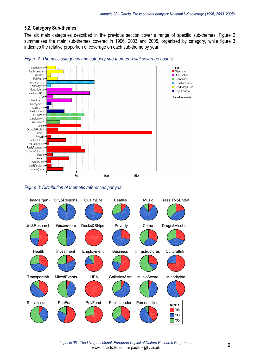#### **5.2. Category Sub-themes**

The six main categories described in the previous section cover a range of specific sub-themes. Figure 2 summarises the main sub-themes covered in 1996, 2003 and 2005, organised by category, while figure 3 indicates the relative proportion of coverage on each sub-theme by year.



*Figure 2: Thematic categories and category sub-themes: Total coverage counts* 

*Figure 3: Distribution of thematic references per year* 



*Impacts 08 - The Liverpool Model, European Capital of Culture Research Programme* erpool Model, European Capital of Culture Research Programme<br>www.impacts08.net impacts08@liv.ac.uk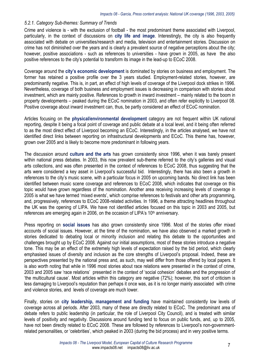#### *5.2.1. Category Sub-themes: Summary of Trends*

Crime and violence is - with the exclusion of football - the most predominant theme associated with Liverpool, particularly, in the context of discussions on **city life and image**. Interestingly, the city is also frequently associated with debate on universities/research and media, television and entertainment stories. Discussion on crime has not diminished over the years and is clearly a prevalent source of negative perceptions about the city; however, positive associations - such as references to universities - have grown in 2005, as have the also positive references to the city's potential to transform its image in the lead-up to ECoC 2008.

Coverage around the **city's economic development** is dominated by stories on business and employment. The former has retained a positive profile over the 3 years studied. Employment-related stories, however, are predominantly negative. This is, in part, an effect of high levels of coverage of the Liverpool dock strikes in 1996. Nevertheless, coverage of both business and employment issues is decreasing in comparison with stories about investment, which are mainly positive. References to growth in inward investment – mainly related to the boom in property developments – peaked during the ECoC nomination in 2003, and often refer explicitly to Liverpool 08. Positive coverage about inward investment can, thus, be partly considered an effect of ECoC nomination.

Articles focusing on the **physical/environmental development** category are not frequent within UK national reporting, despite it being a focal point of coverage and public debate at a local level, and it being often referred to as the most direct effect of Liverpool becoming an ECoC. Interestingly, in the articles analysed, we have not identified direct links between reporting on infrastructural developments and ECoC. This theme has, however, grown over 2005 and is likely to become more predominant in following years.

The discussion around **culture and the arts** has grown consistently since 1996, when it was barely present within national press debates. In 2003, this now prevalent sub-theme referred to the city's galleries and visual arts collections, and was often presented in the context of references to ECoC 2008, thus suggesting that the arts were considered a key asset in Liverpool's successful bid. Interestingly, there has also been a growth in references to the city's music scene, with a particular focus in 2005 on upcoming bands. No direct link has been identified between music scene coverage and references to ECoC 2008, which indicates that coverage on this topic would have grown regardless of the nomination. Another area receiving increasing levels of coverage in 2005 is what we have termed 'mixed events', which comprise references to festivals and other arts programming, and, progressively, references to ECoC 2008-related activities. In 1996, a theme attracting headlines throughout the UK was the opening of LIPA. We have not identified articles focused on this topic in 2003 and 2005, but references are emerging again in 2006, on the occasion of LIPA's 10<sup>th</sup> anniversary.

Press reporting on **social issues** has also grown consistently since 1996. Most of the stories offer mixed accounts of social issues. However, at the time of the nomination, we have also observed a marked growth in stories dedicated to debating local or minority inclusion and relating this debate to the opportunities and challenges brought up by ECoC 2008. Against our initial assumptions, most of these stories introduce a negative tone. This may be an effect of the extremely high levels of expectation raised by the bid period, which clearly emphasised issues of diversity and inclusion as the core strengths of Liverpool's proposal. Indeed, these are perspectives presented by the national press and, as such, may well differ from those offered by local papers. It is also worth noting that while in 1996 most stories about race relations were presented in the context of crime, 2003 and 2005 saw 'race relations' presented in the context of 'social cohesion' debates and the progression of 'the multicultural cause'. Most articles within this category are negative (72%); however, this sort of criticism is less damaging to Liverpool's reputation than perhaps it once was, as it is no longer mainly associated with crime and violence stories, and levels of coverage are much lower.

Finally, stories on **city leadership, management and funding** have maintained consistently low levels of coverage across all periods. After 2003, many of these are directly related to ECoC. The predominant area of debate refers to public leadership (in particular, the role of Liverpool City Council), and is treated with similar levels of positivity and negativity. Discussions around funding tend to focus on public funds, and, up to 2005, have not been directly related to ECoC 2008. These are followed by references to Liverpool's non-governmentrelated personalities, or 'celebrities', which peaked in 2003 (during the bid process) and in very positive terms.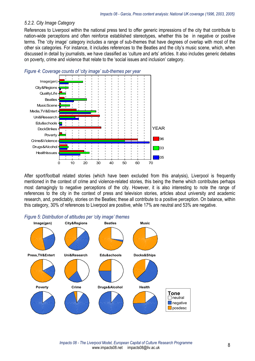#### *5.2.2. City Image Category*

References to Liverpool within the national press tend to offer generic impressions of the city that contribute to nation-wide perceptions and often reinforce established stereotypes, whether this be in negative or positive terms. The 'city image' category includes a range of sub-themes that have degrees of overlap with most of the other six categories. For instance, it includes references to the Beatles and the city's music scene, which, when discussed in detail by journalists, we have classified as 'culture and arts' articles. It also includes generic debates on poverty, crime and violence that relate to the 'social issues and inclusion' category.



After sport/football related stories (which have been excluded from this analysis), Liverpool is frequently mentioned in the context of crime and violence-related stories, this being the theme which contributes perhaps most damagingly to negative perceptions of the city. However, it is also interesting to note the range of references to the city in the context of press and television stories, articles about university and academic research, and, predictably, stories on the Beatles; these all contribute to a positive perception. On balance, within this category, 30% of references to Liverpool are positive, while 17% are neutral and 53% are negative.



#### *Figure 5: Distribution of attitudes per 'city image' themes*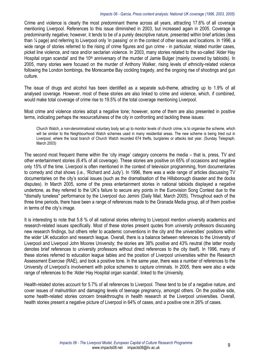Crime and violence is clearly the most predominant theme across all years, attracting 17.6% of all coverage mentioning Liverpool. References to this issue diminished in 2003, but increased again in 2005. Coverage is predominantly negative; however, it tends to be of a purely descriptive nature, presented within brief articles (less than ¼ page) and referring to Liverpool only 'in passing' or in the context of other issues and locations. In 1996, a wide range of stories referred to the rising of crime figures and gun crime - in particular, related murder cases, picket line violence, and race and/or sectarian violence. In 2003, many stories related to the so-called 'Alder Hay Hospital organ scandal' and the 10<sup>th</sup> anniversary of the murder of Jamie Bulger (mainly covered by tabloids). In 2005, many stories were focused on the murder of Anthony Walker, rising levels of ethnicity-related violence following the London bombings, the Morecambe Bay cockling tragedy, and the ongoing rise of shootings and gun culture.

The issue of drugs and alcohol has been identified as a separate sub-theme, attracting up to 1.9% of all analysed coverage. However, most of these stories are also linked to crime and violence, which, if combined, would make total coverage of crime rise to 19.5% of the total coverage mentioning Liverpool.

Most crime and violence stories adopt a negative tone; however, some of them are also presented in positive terms, indicating perhaps the resourcefulness of the city in confronting and tackling these issues:

Church Watch, a non-denominational voluntary body set up to monitor levels of church crime, is to organise the scheme, which will be similar to the Neighbourhood Watch schemes used in many residential areas. The new scheme is being tried out in Liverpool, where the local branch of Church Watch recorded 674 thefts, burglaries or attacks last year. (Sunday Telegraph, March 2003)

The second most frequent theme within the 'city image' category concerns the media – that is, press, TV and other entertainment stories (6.4% of all coverage). These stories are positive on 65% of occasions and negative only 15% of the time. Liverpool is often mentioned in the context of television programming, from documentaries to comedy and chat shows (i.e., 'Richard and Judy'). In 1996, there was a wide range of articles discussing TV documentaries on the city's social issues (such as the dramatisation of the Hillsborough disaster and the docks disputes). In March 2005, some of the press entertainment stories in national tabloids displayed a negative undertone, as they referred to the UK's failure to secure any points in the Eurovision Song Contest due to the "dismally tuneless" performance by the Liverpool duo Jemini (Daily Mail, March 2005). Throughout each of the three time periods, there have been a range of references made to the Granada Media group, all of them positive in terms of the city's image.

It is interesting to note that 5.8 % of all national stories referring to Liverpool mention university academics and research-related issues specifically. Most of these stories present quotes from university professors discussing new research findings, but others refer to academic conventions in the city and the universities' positions within the wider UK education and research league. Overall, there is a balance between references to the University of Liverpool and Liverpool John Moores University; the stories are 38% positive and 43% neutral (the latter mostly denotes brief references to university professors without direct references to the city itself). In 1996, many of these stories referred to education league tables and the position of Liverpool universities within the Research Assessment Exercise (RAE), and took a positive tone. In the same year, there was a number of references to the University of Liverpool's involvement with police schemes to capture criminals. In 2005, there were also a wide range of references to the 'Alder Hay Hospital organ scandal', linked to the University.

Health-related stories account for 5.7% of all references to Liverpool. These tend to be of a negative nature, and cover issues of malnutrition and damaging levels of teenage pregnancy, amongst others. On the positive side, some health-related stories concern breakthroughs in health research at the Liverpool universities. Overall, health stories present a negative picture of Liverpool in 64% of cases, and a positive one in 26% of cases.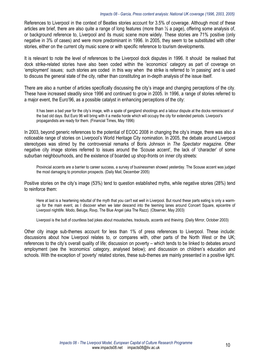References to Liverpool in the context of Beatles stories account for 3.5% of coverage. Although most of these articles are brief, there are also quite a range of long features (more than ½ a page), offering some analysis of, or background reference to, Liverpool and its music scene more widely. These stories are 71% positive (only negative in 3% of cases) and were more predominant in 1996. In 2005, they seem to be substituted with other stories, either on the current city music scene or with specific reference to tourism developments.

It is relevant to note the level of references to the Liverpool dock disputes in 1996. It should be realised that dock strike-related stories have also been coded within the 'economics' category as part of coverage on 'employment' issues; such stories are coded in this way when the strike is referred to 'in passing' and is used to discuss the general state of the city, rather than constituting an in-depth analysis of the issue itself.

There are also a number of articles specifically discussing the city's image and changing perceptions of the city. These have increased steadily since 1996 and continued to grow in 2005. In 1996, a range of stories referred to a major event, the Euro'96, as a possible catalyst in enhancing perceptions of the city:

It has been a bad year for the city's image, with a spate of gangland shootings and a labour dispute at the docks reminiscent of the bad old days. But Euro 96 will bring with it a media horde which will occupy the city for extended periods. Liverpool's propagandists are ready for them. (Financial Times, May 1996)

In 2003, beyond generic references to the potential of ECOC 2008 in changing the city's image, there was also a noticeable range of stories on Liverpool's World Heritage City nomination. In 2005, the debate around Liverpool stereotypes was stirred by the controversial remarks of Boris Johnson in *The Spectator* magazine. Other negative city image stories referred to issues around the 'Scouse accent', the lack of 'character' of some suburban neighbourhoods, and the existence of boarded up shop-fronts on inner city streets:

Provincial accents are a barrier to career success, a survey of businessmen showed yesterday. The Scouse accent was judged the most damaging to promotion prospects. (Daily Mail, December 2005)

Positive stories on the city's image (53%) tend to question established myths, while negative stories (28%) tend to reinforce them:

Here at last is a heartening rebuttal of the myth that you can't eat well in Liverpool. But round these parts eating is only a warmup for the main event, as I discover when we later descend into the teeming lanes around Concert Square, epicentre of Liverpool nightlife. Modo, Beluga, Rsvp, The Blue Angel (aka The Razz). (Observer, May 2003)

Liverpool is the butt of countless bad jokes about moustaches, tracksuits, accents and thieving. (Daily Mirror, October 2003)

Other city image sub-themes account for less than 1% of press references to Liverpool. These include: discussions about how Liverpool relates to, or compares with, other parts of the North West or the UK; references to the city's overall quality of life; discussion on poverty – which tends to be linked to debates around employment (see the 'economics' category, analysed below); and discussion on children's education and schools. With the exception of 'poverty' related stories, these sub-themes are mainly presented in a positive light.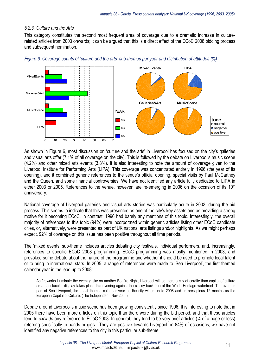#### *5.2.3. Culture and the Arts*

This category constitutes the second most frequent area of coverage due to a dramatic increase in culturerelated articles from 2003 onwards; it can be argued that this is a direct effect of the ECoC 2008 bidding process and subsequent nomination.



*Figure 6: Coverage counts of 'culture and the arts' sub-themes per year and distribution of attitudes (%)* 

As shown in Figure 6, most discussion on 'culture and the arts' in Liverpool has focused on the city's galleries and visual arts offer (7.1% of all coverage on the city). This is followed by the debate on Liverpool's music scene (4.2%) and other mixed arts events (3.8%). It is also interesting to note the amount of coverage given to the Liverpool Institute for Performing Arts (LIPA). This coverage was concentrated entirely in 1996 (the year of its opening), and it combined generic references to the venue's official opening, special visits by Paul McCartney and the Queen, and some financial controversies. We have not identified any article fully dedicated to LIPA in either 2003 or 2005. References to the venue, however, are re-emerging in 2006 on the occasion of its 10<sup>th</sup> anniversary.

National coverage of Liverpool galleries and visual arts stories was particularly acute in 2003, during the bid process. This seems to indicate that this was presented as one of the city's key assets and as providing a strong motive for it becoming ECoC. In contrast, 1996 had barely any mentions of this topic. Interestingly, the overall majority of references to this topic (94%) were incorporated within generic articles listing other ECoC candidate cities, or, alternatively, were presented as part of UK national arts listings and/or highlights. As we might perhaps expect, 92% of coverage on this issue has been positive throughout all time periods.

The 'mixed events' sub-theme includes articles debating city festivals, individual performers, and, increasingly, references to specific ECoC 2008 programming. ECoC programming was mostly mentioned in 2003, and provoked some debate about the nature of the programme and whether it should be used to promote local talent or to bring in international stars. In 2005, a range of references were made to 'Sea Liverpool', the first themed calendar year in the lead up to 2008:

As fireworks illuminate the evening sky on another Bonfire Night, Liverpool will be more a city of cordite than capital of culture as a spectacular display takes place this evening against the classy backdrop of the World Heritage waterfront. The event is part of Sea Liverpool, the latest themed calendar year as the city winds up to 2008 and its prestigious 12 months as the European Capital of Culture. (The Independent, Nov 2005)

Debate around Liverpool's music scene has been growing consistently since 1996. It is interesting to note that in 2005 there have been more articles on this topic than there were during the bid period, and that these articles tend to *exclude* any reference to ECoC 2008. In general, they tend to be very brief articles (¼ of a page or less) referring specifically to bands or gigs . They are positive towards Liverpool on 84% of occasions; we have not identified any negative references to the city in this particular sub-theme.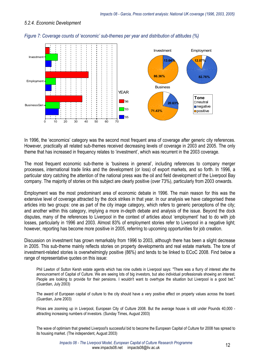#### *5.2.4. Economic Development*



*Figure 7: Coverage counts of 'economic' sub-themes per year and distribution of attitudes (%)* 

In 1996, the 'economics' category was the second most frequent area of coverage after generic city references. However, practically all related sub-themes received decreasing levels of coverage in 2003 and 2005. The only theme that has increased in frequency relates to 'investment', which was recurrent in the 2003 coverage.

The most frequent economic sub-theme is 'business in general', including references to company merger processes, international trade links and the development (or loss) of export markets, and so forth. In 1996, a particular story catching the attention of the national press was the oil and field development of the Liverpool Bay company. The majority of stories on this subject are clearly positive (over 73%), particularly from 2003 onwards.

Employment was the most predominant area of economic debate in 1996. The main reason for this was the extensive level of coverage attracted by the dock strikes in that year. In our analysis we have categorised these articles into two groups: one as part of the city image category, which refers to generic perceptions of the city; and another within this category, implying a more in-depth debate and analysis of the issue. Beyond the dock disputes, many of the references to Liverpool in the context of articles about 'employment' had to do with job losses, particularly in 1996 and 2003. Almost 83% of employment stories refer to Liverpool in a negative light; however, reporting has become more positive in 2005, referring to upcoming opportunities for job creation.

Discussion on investment has grown remarkably from 1996 to 2003, although there has been a slight decrease in 2005. This sub-theme mainly reflects stories on property developments and real estate markets. The tone of investment-related stories is overwhelmingly positive (86%) and tends to be linked to ECoC 2008. Find below a range of representative quotes on this issue:

Phil Lawton of Sutton Kersh estate agents which has nine outlets in Liverpool says: "There was a flurry of interest after the announcement of Capital of Culture. We are seeing lots of big investors, but also individual professionals showing an interest. People are looking to provide for their pensions. I wouldn't want to overhype the situation but Liverpool is a good bet." (Guardian, July 2003)

The award of European capital of culture to the city should have a very positive effect on property values across the board. (Guardian, June 2003)

Prices are zooming up in Liverpool, European City of Culture 2008. But the average house is still under Pounds 40,000 attracting increasing numbers of investors. (Sunday Times, August 2003)

The wave of optimism that greeted Liverpool's successful bid to become the European Capital of Culture for 2008 has spread to its housing market. (The independent, August 2003)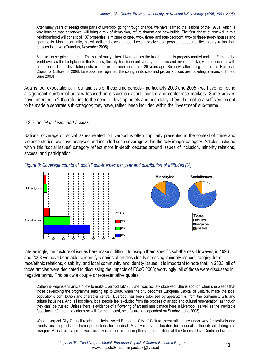After many years of seeing other parts of Liverpool going through change, we have learned the lessons of the 1970s, which is why housing market renewal will bring a mix of demolition, refurbishment and new-builds. The first phase of renewal in this neighbourhood will consist of 107 properties: a mixture of one-, two-, three- and four-bedroom, two- or three-storey houses and apartments. Most importantly, this will deliver choices that don't exist and give local people the opportunities to stay, rather than reasons to leave. (Guardian, November 2005)

Scouse house prices go mad: The butt of many jokes, Liverpool has the last laugh as its property market rockets. Famous the world over as the birthplace of the Beatles, the city has been unloved by the public and investors alike, who associate it with urban neglect and devastating riots in the Toxteth area more than 20 years ago. But now, after being named the European Capital of Culture for 2008, Liverpool has regained the spring in its step and property prices are rocketing. (Financial Times, June 2003)

Against our expectations, in our analysis of these time periods - particularly 2003 and 2005 - we have not found a significant number of articles focused on discussion about tourism and conference markets. Some articles have emerged in 2005 referring to the need to develop hotels and hospitality offers, but not to a sufficient extent to be made a separate sub-category; they have, rather, been included within the 'investment' sub-theme.

#### *5.2.5. Social Inclusion and Access*

National coverage on social issues related to Liverpool is often popularly presented in the context of crime and violence stories; we have analysed and included such coverage within the 'city image' category. Articles included within this 'social issues' category reflect more in-depth debates around issues of inclusion, minority relations, access, and participation.



#### *Figure 8: Coverage counts of 'social' sub-themes per year and distribution of attitudes (%)*

Interestingly, the mixture of issues here make it difficult to assign them specific sub-themes. However, in 1996 and 2003 we have been able to identify a series of articles clearly stressing 'minority issues', ranging from race/ethnic relations, disability, and local community and identity issues. It is important to note that, in 2003, all of those articles were dedicated to discussing the impacts of ECoC 2008; worryingly, all of those were discussed in negative terms. Find below a couple or representative quotes:

Catherine Pepinster's article "How to make Liverpool fab" (8 June) was acutely observed. She is spot-on when she pleads that those developing the programme leading up to 2008, when the city becomes European Capital of Culture, make the local population's contribution and character central. Liverpool has been colonised by apparatchiks from the community arts and culture industries. And, all too often, local people feel excluded from the process of artistic and cultural regeneration, as though they can't be trusted. Unless there is evidence of a flowering of art and music made here in Liverpool, as well as the inevitable "spectaculars", then the enterprise will, for me at least, be a failure. (Independent on Sunday, June 2003)

While Liverpool City Council rejoices in being voted European City of Culture, preparations are under way for festivals and events, including art and drama productions for the deaf. Meanwhile, some facilities for the deaf in the city are falling into disrepair. A deaf drama group was recently excluded from using the superior facilities at the Queen's Drive Centre in Liverpool.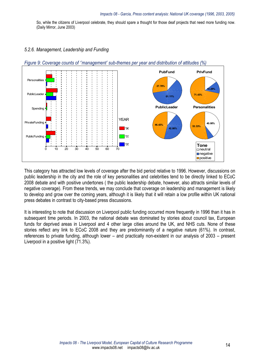So, while the citizens of Liverpool celebrate, they should spare a thought for those deaf projects that need more funding now. (Daily Mirror, June 2003)

#### *5.2.6. Management, Leadership and Funding*



*Figure 9: Coverage counts of ''management' sub-themes per year and distribution of attitudes (%)* 

This category has attracted low levels of coverage after the bid period relative to 1996. However, discussions on public leadership in the city and the role of key personalities and celebrities tend to be directly linked to ECoC 2008 debate and with positive undertones ( the public leadership debate, however, also attracts similar levels of negative coverage). From these trends, we may conclude that coverage on leadership and management is likely to develop and grow over the coming years, although it is likely that it will retain a low profile within UK national press debates in contrast to city-based press discussions.

It is interesting to note that discussion on Liverpool public funding occurred more frequently in 1996 than it has in subsequent time periods. In 2003, the national debate was dominated by stories about council tax, European funds for deprived areas in Liverpool and 4 other large cities around the UK, and NHS cuts. None of these stories reflect any link to ECoC 2008 and they are predominantly of a negative nature (61%). In contrast, references to private funding, although lower – and practically non-existent in our analysis of 2003 – present Liverpool in a positive light (71.3%).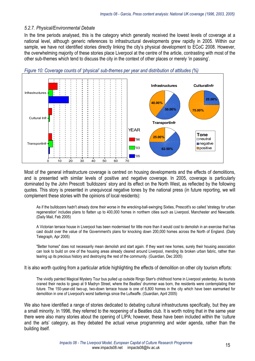#### *5.2.7. Physical/Environmental Debate*

In the time periods analysed, this is the category which generally received the lowest levels of coverage at a national level, although generic references to infrastructural developments grew rapidly in 2005. Within our sample, we have not identified stories directly linking the city's physical development to ECoC 2008. However, the overwhelming majority of these stories place Liverpool at the centre of the article, contrasting with most of the other sub-themes which tend to discuss the city in the context of other places or merely 'in passing'.



*Figure 10: Coverage counts of 'physical' sub-themes per year and distribution of attitudes (%)* 

Most of the general infrastructure coverage is centred on housing developments and the effects of demolitions, and is presented with similar levels of positive and negative coverage. In 2005, coverage is particularly dominated by the John Prescott 'bulldozers' story and its effect on the North West, as reflected by the following quotes. This story is presented in unequivocal negative tones by the national press (in future reporting, we will complement these stories with the opinions of local residents):

As if the bulldozers hadn't already done their worse in the wrecking-ball-swinging Sixties, Prescott's so called 'strategy for urban regeneration' includes plans to flatten up to 400,000 homes in northern cities such as Liverpool, Manchester and Newcastle. (Daily Mail, Feb 2005)

A Victorian terrace house in Liverpool has been modernised for little more than it would cost to demolish in an exercise that has cast doubt over the value of the Government's plans for knocking down 200,000 homes across the North of England. (Daily Telegraph, Apr 2005)

"Better homes" does not necessarily mean demolish and start again. If they want new homes, surely their housing association can look to build on one of the housing areas already cleared around Liverpool, mending its broken urban fabric, rather than tearing up its precious history and destroying the rest of the community. (Guardian, Dec 2005)

It is also worth quoting from a particular article highlighting the effects of demolition on other city tourism efforts:

The vividly painted Magical Mystery Tour bus pulled up outside Ringo Starr's childhood home in Liverpool yesterday. As tourists craned their necks to gawp at 9 Madryn Street, where the Beatles' drummer was born, the residents were contemplating their future. The 150-year-old two-up, two-down terrace house is one of 6,800 homes in the city which have been earmarked for demolition in one of Liverpool's worst batterings since the Luftwaffe. (Guardian, April 2005)

We also have identified a range of stories dedicated to debating cultural infrastructures specifically, but they are a small minority. In 1996, they referred to the reopening of a Beatles club. It is worth noting that in the same year there were also many stories about the opening of LIPA; however, these have been included within the 'culture and the arts' category, as they debated the actual venue programming and wider agenda, rather than the building itself.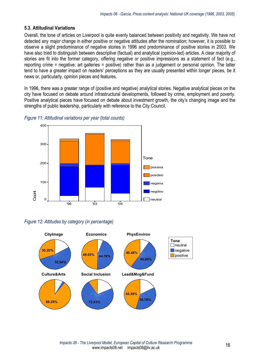#### **5.3. Attitudinal Variations**

Overall, the tone of articles on Liverpool is quite evenly balanced between positivity and negativity. We have not detected any *major* change in either positive or negative attitudes after the nomination; however, it is possible to observe a slight predominance of negative stories in 1996 and predominance of positive stories in 2003. We have also tried to distinguish between descriptive (factual) and analytical (opinion-led) articles. A clear majority of stories are fit into the former category, offering negative or positive impressions as a statement of fact (e.g., reporting crime = negative; art galleries = positive) rather than as a judgement or personal opinion. The latter tend to have a greater impact on readers' perceptions as they are usually presented within longer pieces, be it news or, particularly, opinion pieces and features.

In 1996, there was a greater range of (positive and negative) analytical stories. Negative analytical pieces on the city have focused on debate around infrastructural developments, followed by crime, employment and poverty. Positive analytical pieces have focused on debate about investment growth, the city's changing image and the strengths of public leadership, particularly with reference to the City Council.



*Figure 11: Attitudinal variations per year (total counts)* 

#### *Figure 12: Attitudes by category (in percentage)*

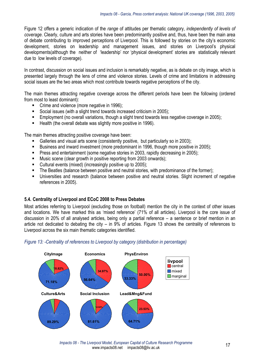Figure 12 offers a generic indication of the *range* of attitudes per thematic category, *independently of levels of coverage*. Clearly, culture and arts stories have been predominantly positive and, thus, have been the main area of debate contributing to improved perceptions of Liverpool. This is followed by stories on the city's economic development, stories on leadership and management issues, and stories on Liverpool's physical developments(although the neither of 'leadership' nor 'physical development' stories are statistically relevant due to low levels of coverage).

In contrast, discussion on social issues and inclusion is remarkably negative, as is debate on city image, which is presented largely through the lens of crime and violence stories. Levels of crime and limitations in addressing social issues are the two areas which most contribute towards negative perceptions of the city.

The main themes attracting negative coverage across the different periods have been the following (ordered from most to least dominant):

- Crime and violence (more negative in 1996);
- Social issues (with a slight trend towards increased criticism in 2005);
- Employment (no overall variations, though a slight trend towards less negative coverage in 2005);
- **Health (the overall debate was slightly more positive in 1996).**

The main themes attracting positive coverage have been:

- Galleries and visual arts scene (consistently positive, but particularly so in 2003);
- Business and inward investment (more predominant in 1996, though more positive in 2005);
- **Press and entertainment (some negative stories in 2003, rapidly decreasing in 2005);**
- **Music scene (clear growth in positive reporting from 2003 onwards);**
- Cultural events (mixed) (increasingly positive up to 2005);
- The Beatles (balance between positive and neutral stories, with predominance of the former);
- Universities and research (balance between positive and neutral stories. Slight increment of negative references in 2005).

#### **5.4. Centrality of Liverpool and ECoC 2008 to Press Debates**

Most articles referring to Liverpool (excluding those on football) mention the city in the context of other issues and locations. We have marked this as 'mixed reference' (71% of all articles). Liverpool is the core issue of discussion in 20% of all analysed articles, being only a partial reference – a sentence or brief mention in an article not dedicated to debating the city – in 9% of articles. Figure 13 shows the centrality of references to Liverpool across the six main thematic categories identified.

#### *Figure 13: -Centrality of references to Liverpool by category (distribution in percentage)*

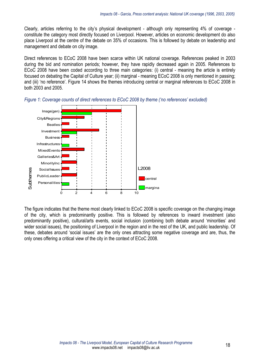Clearly, articles referring to the city's physical development - although only representing 4% of coverage constitute the category most directly focused on Liverpool. However, articles on economic development do also place Liverpool at the centre of the debate on 35% of occasions. This is followed by debate on leadership and management and debate on city image.

Direct references to ECoC 2008 have been scarce within UK national coverage. References peaked in 2003 during the bid and nomination periods; however, they have rapidly decreased again in 2005. References to ECoC 2008 have been coded according to three main categories: (i) central - meaning the article is entirely focused on debating the Capital of Culture year; (ii) marginal - meaning ECoC 2008 is only mentioned in passing; and (iii) 'no reference'. Figure 14 shows the themes introducing central or marginal references to ECoC 2008 in both 2003 and 2005.



*Figure 1: Coverage counts of direct references to ECoC 2008 by theme ('no references' excluded)* 

The figure indicates that the theme most clearly linked to ECoC 2008 is specific coverage on the changing image of the city, which is predominantly positive. This is followed by references to inward investment (also predominantly positive), cultural/arts events, social inclusion (combining both debate around 'minorities' and wider social issues), the positioning of Liverpool in the region and in the rest of the UK, and public leadership. Of these, debates around 'social issues' are the only ones attracting some negative coverage and are, thus, the only ones offering a critical view of the city in the context of ECoC 2008.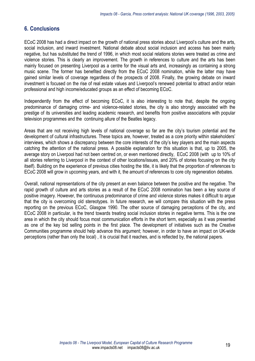## **6. Conclusions**

ECoC 2008 has had a direct impact on the growth of national press stories about Liverpool's culture and the arts, social inclusion, and inward investment. National debate about social inclusion and access has been mainly negative, but has substituted the trend of 1996, in which most social relations stories were treated as crime and violence stories. This is clearly an improvement. The growth in references to culture and the arts has been mainly focused on presenting Liverpool as a centre for the visual arts and, increasingly as containing a strong music scene. The former has benefited directly from the ECoC 2008 nomination, while the latter may have gained similar levels of coverage regardless of the prospects of 2008. Finally, the growing debate on inward investment is focused on the rise of real estate values and Liverpool's renewed potential to attract and/or retain professional and high income/educated groups as an effect of becoming ECoC.

Independently from the effect of becoming ECoC, it is also interesting to note that, despite the ongoing predominance of damaging crime- and violence-related stories, the city is also strongly associated with the prestige of its universities and leading academic research, and benefits from positive associations with popular television programmes and the continuing allure of the Beatles legacy.

Areas that are not receiving high levels of national coverage so far are the city's tourism potential and the development of cultural infrastructures. These topics are, however, treated as a core priority within stakeholders' interviews, which shows a discrepancy between the core interests of the city's key players and the main aspects catching the attention of the national press. A possible explanation for this situation is that, up to 2005, the average story on Liverpool had not been centred on, or even mentioned directly, ECoC 2008 (with up to 10% of all stories referring to Liverpool in the context of other locations/issues, and 20% of stories focusing on the city itself). Building on the experience of previous cities hosting the title, it is likely that the proportion of references to ECoC 2008 will grow in upcoming years, and with it, the amount of references to core city regeneration debates.

Overall, national representations of the city present an even balance between the positive and the negative. The rapid growth of culture and arts stories as a result of the ECoC 2008 nomination has been a key source of positive imagery. However, the continuous predominance of crime and violence stories makes it difficult to argue that the city is overcoming old stereotypes. In future research, we will compare this situation with the press reporting on the previous ECoC, Glasgow 1990. The other source of damaging perceptions of the city, and ECoC 2008 in particular, is the trend towards treating social inclusion stories in negative terms. This is the one area in which the city should focus most communication efforts in the short term, especially as it was presented as one of the key bid selling points in the first place. The development of initiatives such as the Creative Communities programme should help advance this argument; however, in order to have an impact on UK-wide perceptions (rather than only the local) , it is crucial that it reaches, and is reflected by, the national papers.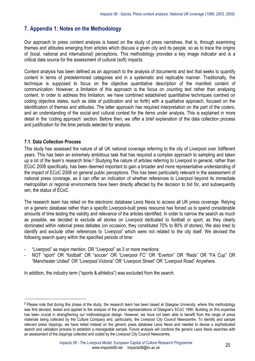## **7. Appendix 1: Notes on the Methodology**

Our approach to press content analysis is based on the study of press narratives, that is, through examining themes and attitudes emerging from articles which discuss a given city and its people, so as to trace the origins of (local, national and international) perceptions. This methodology provides a key image indicator and is a critical data source for the assessment of cultural (soft) impacts.

Content analysis has been defined as an approach to the analysis of documents and text that seeks to quantify content in terms of predetermined categories and in a systematic and replicable manner. Traditionally, the technique is supposed to focus on the objective quantitative description of the manifest content of communication. However, a limitation of this approach is the focus on counting text rather than analysing content. In order to address this limitation, we have combined established quantitative techniques (centred on coding objective states, such as date of publication and so forth) with a qualitative approach, focused on the identification of themes and attitudes. The latter approach has required interpretation on the part of the coders, and an understanding of the social and cultural context for the items under analysis. This is explained in more detail in the 'coding approach' section. Before then, we offer a brief explanation of the data collection process and justification for the time periods selected for analysis.

#### **7.1. Data Collection Process**

 $\overline{\phantom{a}}$ 

This study has assessed the nature of all UK national coverage referring to the city of Liverpool over 3different years. This has been an extremely ambitious task that has required a complex approach to sampling and taken up a lot of the team's research time.<sup>5</sup> Studying the nature of articles referring to Liverpool in general, rather than ECoC 2008 specifically, has been deemed important to gain a broader and more representative understanding of the impact of ECoC 2008 on general public perceptions. This has been particularly relevant in the assessment of national press coverage, as it can offer an indication of whether references to Liverpool beyond its immediate metropolitan or regional environments have been directly affected by the decision to bid for, and subsequently win, the status of ECoC.

The research team has relied on the electronic database Lexis Nexis to access all UK press coverage. Relying on a generic database rather than a specific Liverpool-built press resource has forced us to spend considerable amounts of time testing the validity and relevance of the articles identified. In order to narrow the search as much as possible, we decided to exclude all stories on Liverpool dedicated to football or sport, as they clearly dominated within national press debates (on occasion, they constituted 70% to 80% of stories). We also tried to identify and exclude other references to 'Liverpool' which were not related to the city itself. We devised the following search query within the specified periods of time:

- "Liverpool" as major mention, OR "Liverpool" as 3 or more mentions;
- NOT "sport" OR "football" OR "soccer" OR "Liverpool FC" OR "Everton" OR "Reds" OR "FA Cup" OR "Manchester United" OR "Liverpool Victoria" OR "Liverpool Street" OR "Liverpool Road" Anywhere.

In addition, the industry term ("sports & athletics") was excluded from the search.

<sup>&</sup>lt;sup>5</sup> Please note that during this phase of the study, the research team has been based at Glasgow University, where this methodology was first devised, tested and applied to the analysis of the press representations of Glasgow's ECoC 1990. Building on this expertise has been crucial in strengthening our methodological design. However, we have not been able to benefit from the range of press materials being collected by the Culture Company and, particularly, the Liverpool City Council Newscentre. To identify and sample relevant press clippings, we have relied instead on the generic press database Lexis Nexis and needed to devise a sophisticated search and validation process to establish a manageable sample. Future analysis will combine the generic Lexis Nexis searches with an assessment of the clippings collected and coded by the Liverpool City Council Newscentre.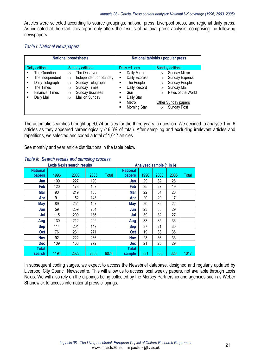Articles were selected according to source groupings: national press, Liverpool press, and regional daily press. As indicated at the start, this report only offers the results of national press analysis, comprising the following newspapers:

#### *Table i: National Newspapers*

| <b>National broadsheets</b>                                                                                                                                                                                                                                                                                                                                                                         | National tabloids / popular press                                                                                                                                                                                                                                                                                                                                                      |  |  |  |
|-----------------------------------------------------------------------------------------------------------------------------------------------------------------------------------------------------------------------------------------------------------------------------------------------------------------------------------------------------------------------------------------------------|----------------------------------------------------------------------------------------------------------------------------------------------------------------------------------------------------------------------------------------------------------------------------------------------------------------------------------------------------------------------------------------|--|--|--|
| <b>Sunday editions</b><br>Daily editions<br>The Guardian<br>The Observer<br>$\blacksquare$<br>$\Omega$<br>The Independent<br>Independent on Sunday<br>п<br>$\Omega$<br>Daily Telegraph<br>Sunday Telegraph<br>п<br>$\circ$<br><b>Sunday Times</b><br>The Times<br>п<br>$\Omega$<br><b>Sunday Business</b><br><b>Financial Times</b><br>п<br>$\circ$<br>Mail on Sunday<br>Daily Mail<br>п<br>$\circ$ | <b>Sunday editions</b><br>Daily editions<br>Daily Mirror<br><b>Sunday Mirror</b><br>$\circ$<br>Daily Express<br><b>Sunday Express</b><br>$\circ$<br>Sunday People<br>The People<br>$\circ$<br>Daily Record<br>Sunday Mail<br>$\circ$<br>News of the World<br>Sun<br>п<br>$\Omega$<br>Daily Star<br>Metro<br>Other Sunday papers<br>п<br><b>Sunday Post</b><br>Morning Star<br>$\Omega$ |  |  |  |

The automatic searches brought up 6,074 articles for the three years in question. We decided to analyse 1 in 6 articles as they appeared chronologically (16.6% of total). After sampling and excluding irrelevant articles and repetitions, we selected and coded a total of 1,017 articles.

See monthly and year article distributions in the table below:

| <b>Lexis Nexis search results</b> |      |      | Analysed sample (1 in 6) |       |                 |      |      |      |              |
|-----------------------------------|------|------|--------------------------|-------|-----------------|------|------|------|--------------|
| <b>National</b>                   |      |      |                          |       | <b>National</b> |      |      |      |              |
| <b>papers</b>                     | 1996 | 2003 | 2005                     | Total | papers          | 1996 | 2003 | 2005 | <b>Total</b> |
| Jan                               | 109  | 227  | 190                      |       | Jan             | 29   | 32   | 28   |              |
| Feb                               | 120  | 173  | 157                      |       | Feb             | 35   | 27   | 19   |              |
| Mar                               | 90   | 219  | 163                      |       | Mar             | 22   | 34   | 20   |              |
| Apr                               | 91   | 152  | 143                      |       | Apr             | 20   | 20   | 17   |              |
| <b>May</b>                        | 89   | 254  | 157                      |       | May             | 20   | 32   | 22   |              |
| Jun                               | 59   | 259  | 204                      |       | Jun             | 23   | 33   | 29   |              |
| Jul                               | 115  | 209  | 186                      |       | Jul             | 39   | 32   | 27   |              |
| Aug                               | 130  | 212  | 202                      |       | Aug             | 38   | 35   | 36   |              |
| <b>Sep</b>                        | 114  | 201  | 147                      |       | <b>Sep</b>      | 37   | 21   | 30   |              |
| <b>Oct</b>                        | 76   | 231  | 271                      |       | <b>Oct</b>      | 19   | 33   | 36   |              |
| <b>Nov</b>                        | 92   | 222  | 266                      |       | <b>Nov</b>      | 28   | 36   | 33   |              |
| <b>Dec</b>                        | 109  | 163  | 272                      |       | Dec             | 21   | 25   | 29   |              |
| <b>Total</b>                      |      |      |                          |       | <b>Total</b>    |      |      |      |              |
| search                            | 1194 | 2522 | 2358                     | 6074  | sample          | 331  | 360  | 326  | 1017         |

#### *Table ii: Search results and sampling process*

In subsequent coding stages, we expect to access the Newsbrief database, designed and regularly updated by Liverpool City Council Newscentre. This will allow us to access local weekly papers, not available through Lexis Nexis. We will also rely on the clippings being collected by the Mersey Partnership and agencies such as Weber Shandwick to access international press clippings.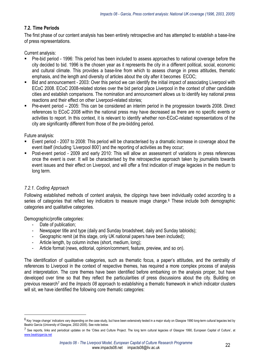#### **7.2. Time Periods**

The first phase of our content analysis has been entirely retrospective and has attempted to establish a base-line of press representations.

Current analysis:

- Pre-bid period 1996: This period has been included to assess approaches to national coverage before the city decided to bid. 1996 is the chosen year as it represents the city in a different political, social, economic and cultural climate. This provides a base-line from which to assess change in press attitudes, thematic emphasis, and the length and diversity of articles about the city after it becomes ECOC;
- Bid and announcement 2003: Over this period we can identify the initial impact of associating Liverpool with ECoC 2008. ECoC 2008-related stories over the bid period place Liverpool in the context of other candidate cities and establish comparisons. The nomination and announcement allows us to identify key national press reactions and their effect on other Liverpool-related stories;
- Pre-event period 2005: This can be considered an interim period in the progression towards 2008. Direct references to ECoC 2008 within the national press may have decreased as there are no specific events or activities to report. In this context, it is relevant to identify whether non-ECoC-related representations of the city are significantly different from those of the pre-bidding period.

Future analysis:

- Event period 2007 to 2008: This period will be characterised by a dramatic increase in coverage about the event itself (including 'Liverpool 800') and the reporting of activities as they occur;
- Post-event period 2009 and early 2010: This will allow an assessment of variations in press references once the event is over. It will be characterised by the retrospective approach taken by journalists towards event issues and their effect on Liverpool, and will offer a first indication of image legacies in the medium to long term.

#### *7.2.1. Coding Approach*

 $\overline{\phantom{a}}$ 

Following established methods of content analysis, the clippings have been individually coded according to a series of categories that reflect key indicators to measure image change.6 These include both demographic categories and qualitative categories.

Demographic/profile categories:

- Date of publication;
- Newspaper title and type (daily and Sunday broadsheet, daily and Sunday tabloids);
- Geographic remit (at this stage, only UK national papers have been included);
- Article length, by column inches (short, medium, long);
- Article format (news, editorial, opinion/comment, feature, preview, and so on).

The identification of qualitative categories, such as thematic focus, a paper's attitudes, and the centrality of references to Liverpool in the context of respective themes, has required a more complex process of analysis and interpretation. The core themes have been identified before embarking on the analysis proper, but have developed over time so that they reflect the particularities of press discussions about the city. Building on previous research7 and the *Impacts 08* approach to establishing a thematic framework in which indicator clusters will sit, we have identified the following core thematic categories:

 $6$  Key 'image change' indicators vary depending on the case study, but have been extensively tested in a major study on Glasgow 1990 long-term cultural legacies led by Beatriz García (University of Glasgow, 2002-2005). See note below.

<sup>7</sup> See reports, links and periodical updates on the 'Cities and Culture Project. The long term cultural legacies of Glasgow 1990, European Capital of Culture', at www.beatrizgarcia.net